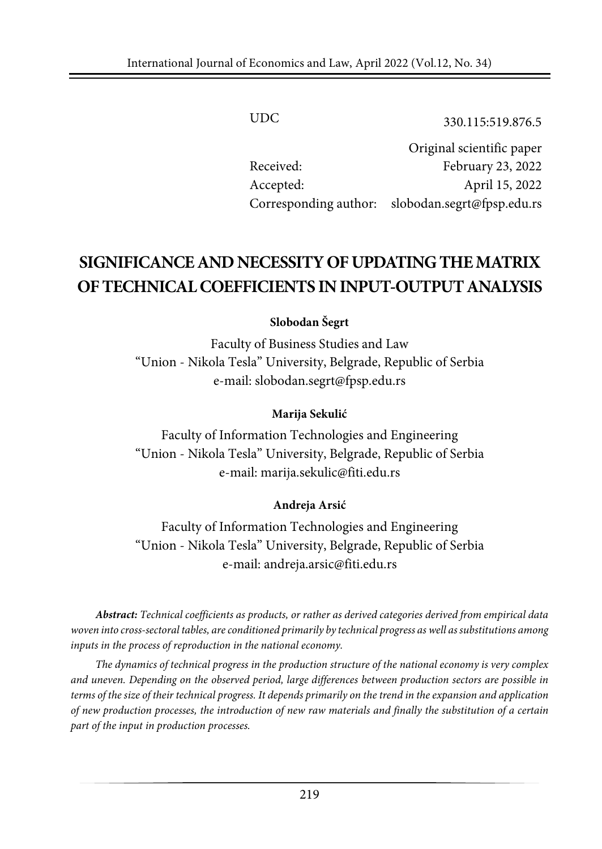UDC 330.115:519.876.5

Original scientific paper Received: February 23, 2022 Accepted: April 15, 2022 Corresponding author: slobodan.segrt@fpsp.edu.rs

# **SIGNIFICANCE ANDNECESSITYOF UPDATINGTHEMATRIX OFTECHNICALCOEFFICIENTS IN INPUT-OUTPUTANALYSIS**

#### **Slobodan Šegrt**

Faculty of Business Studies and Law "Union - Nikola Tesla" University, Belgrade, Republic of Serbia e-mail: [slobodan.segrt@fpsp.edu.rs](mailto:slobodan.segrt@fpsp.edu.rs)

#### **Marija Sekulić**

Faculty of Information Technologies and Engineering "Union - Nikola Tesla" University, Belgrade, Republic of Serbia e-mail: marija.sekulic@fiti.edu.rs

#### **Andreja Arsić**

Faculty of Information Technologies and Engineering "Union - Nikola Tesla" University, Belgrade, Republic of Serbia e-mail: andreja.arsic@fiti.edu.rs

*Abstract: Technical coefficients as products, or rather as derived categories derived from empirical data woven into cross-sectoral tables, are conditioned primarily by technical progress as well as substitutions among inputs in the process of reproduction in the national economy.*

*The dynamics of technical progress in the production structure of the national economy is very complex and uneven. Depending on the observed period, large differences between production sectors are possible in* terms of the size of their technical progress. It depends primarily on the trend in the expansion and application of new production processes, the introduction of new raw materials and finally the substitution of a certain *part of the input in production processes.*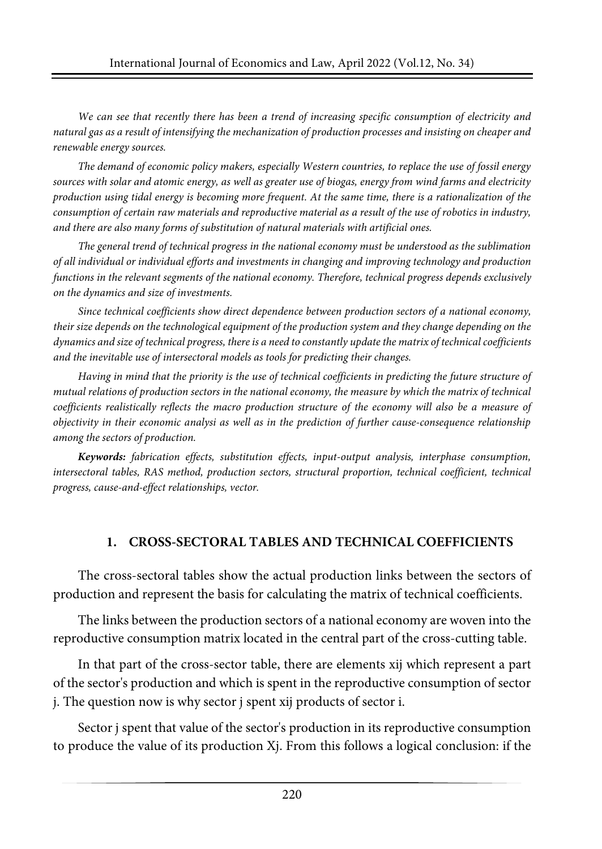*We can see that recently there has been a trend of increasing specific consumption of electricity and* natural gas as a result of intensifying the mechanization of production processes and insisting on cheaper and *renewable energy sources.*

*The demand of economic policy makers, especially Western countries, to replace the use of fossil energy* sources with solar and atomic energy, as well as greater use of biogas, energy from wind farms and electricity production using tidal energy is becoming more frequent. At the same time, there is a rationalization of the consumption of certain raw materials and reproductive material as a result of the use of robotics in industry, *and there are also many forms of substitution of natural materials with artificial ones.*

*The general trend of technical progress in the national economy must be understood as the sublimation of all individual or individual efforts and investments in changing and improving technology and production functions in the relevant segments of the national economy. Therefore, technical progress depends exclusively on the dynamics and size of investments.*

*Since technical coefficients show direct dependence between production sectors of a national economy,* their size depends on the technological equipment of the production system and they change depending on the dynamics and size of technical progress, there is a need to constantly update the matrix of technical coefficients *and the inevitable use of intersectoral models as tools for predicting their changes.*

Having in mind that the priority is the use of technical coefficients in predicting the future structure of mutual relations of production sectors in the national economy, the measure by which the matrix of technical *coefficients realistically reflects the macro production structure of the economy will also be a measure of objectivity in their economic analysi as well as in the prediction of further cause-consequence relationship among the sectors of production.*

*Keywords: fabrication effects, substitution effects, input-output analysis, interphase consumption, intersectoral tables, RAS method, production sectors, structural proportion, technical coefficient, technical progress, cause-and-effect relationships, vector.*

#### **1. CROSS-SECTORAL TABLES AND TECHNICAL COEFFICIENTS**

The cross-sectoral tables show the actual production links between the sectors of production and represent the basis for calculating the matrix of technical coefficients.

The links between the production sectors of a national economy are woven into the reproductive consumption matrix located in the central part of the cross-cutting table.

In that part of the cross-sector table, there are elements xij which represent a part of the sector's production and which is spent in the reproductive consumption of sector j. The question now is why sector j spent xij products of sector i.

Sector j spent that value of the sector's production in its reproductive consumption to produce the value of its production Xj. From this follows a logical conclusion: if the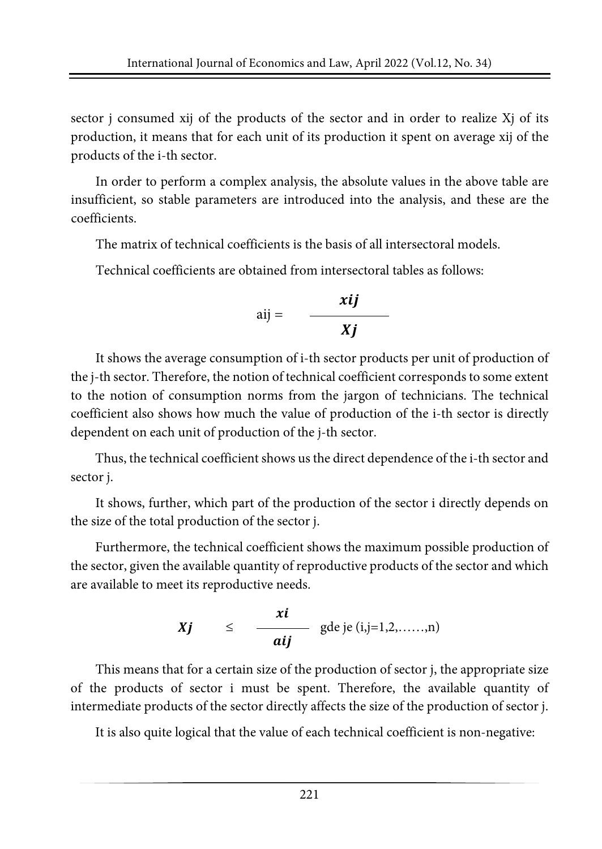sector j consumed xij of the products of the sector and in order to realize Xj of its production, it means that for each unit of its production it spent on average xij of the products of the i-th sector.

In order to perform a complex analysis, the absolute values in the above table are insufficient, so stable parameters are introduced into the analysis, and these are the coefficients.

The matrix of technical coefficients is the basis of all intersectoral models.

Technical coefficients are obtained from intersectoral tables as follows:

$$
aij = \frac{xij}{xj}
$$

It shows the average consumption of i-th sector products per unit of production of the j-th sector. Therefore, the notion of technical coefficient corresponds to some extent to the notion of consumption norms from the jargon of technicians. The technical coefficient also shows how much the value of production of the i-th sector is directly dependent on each unit of production of the j-th sector.

Thus, the technical coefficient shows us the direct dependence of the i-th sector and sector j.

It shows, further, which part of the production of the sector i directly depends on the size of the total production of the sector j.

Furthermore, the technical coefficient shows the maximum possible production of the sector, given the available quantity of reproductive products of the sector and which are available to meet its reproductive needs.

$$
Xj \qquad \leq \qquad \frac{x i}{aij} \quad \text{gde je (i,j=1,2,\ldots,n)}
$$

This means that for a certain size of the production of sector j, the appropriate size of the products of sector i must be spent. Therefore, the available quantity of intermediate products of the sector directly affects the size of the production of sector j.

It is also quite logical that the value of each technical coefficient is non-negative: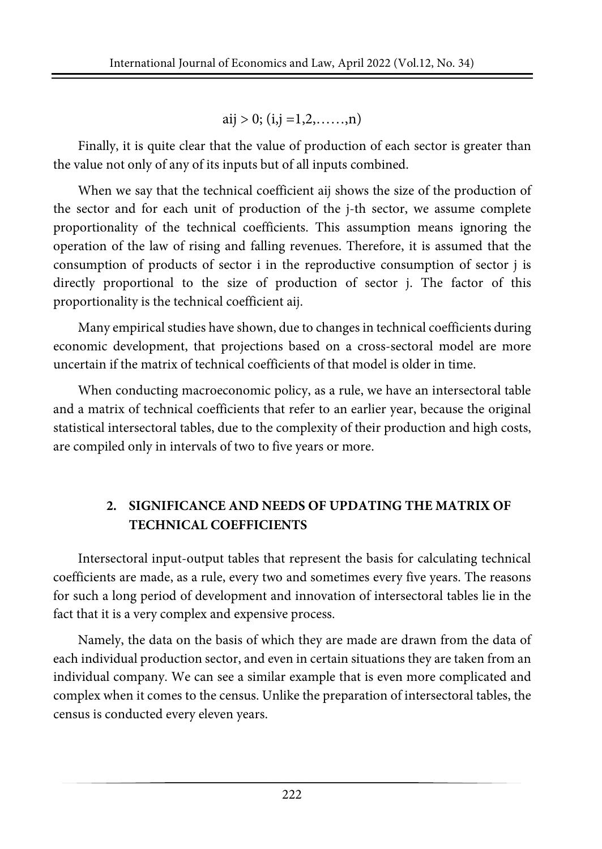aij > 0; (i,j =1,2,....,n)

Finally, it is quite clear that the value of production of each sector is greater than the value not only of any of its inputs but of all inputs combined.

When we say that the technical coefficient aij shows the size of the production of the sector and for each unit of production of the j-th sector, we assume complete proportionality of the technical coefficients. This assumption means ignoring the operation of the law of rising and falling revenues. Therefore, it is assumed that the consumption of products of sector i in the reproductive consumption of sector j is directly proportional to the size of production of sector j. The factor of this proportionality is the technical coefficient aij.

Many empirical studies have shown, due to changes in technical coefficients during economic development, that projections based on a cross-sectoral model are more uncertain if the matrix of technical coefficients of that model is older in time.

When conducting macroeconomic policy, as a rule, we have an intersectoral table and a matrix of technical coefficients that refer to an earlier year, because the original statistical intersectoral tables, due to the complexity of their production and high costs, are compiled only in intervals of two to five years or more.

## **2. SIGNIFICANCE AND NEEDS OF UPDATING THE MATRIX OF TECHNICAL COEFFICIENTS**

Intersectoral input-output tables that represent the basis for calculating technical coefficients are made, as a rule, every two and sometimes every five years. The reasons for such a long period of development and innovation of intersectoral tables lie in the fact that it is a very complex and expensive process.

Namely, the data on the basis of which they are made are drawn from the data of each individual production sector, and even in certain situations they are taken from an individual company. We can see a similar example that is even more complicated and complex when it comes to the census. Unlike the preparation of intersectoral tables, the census is conducted every eleven years.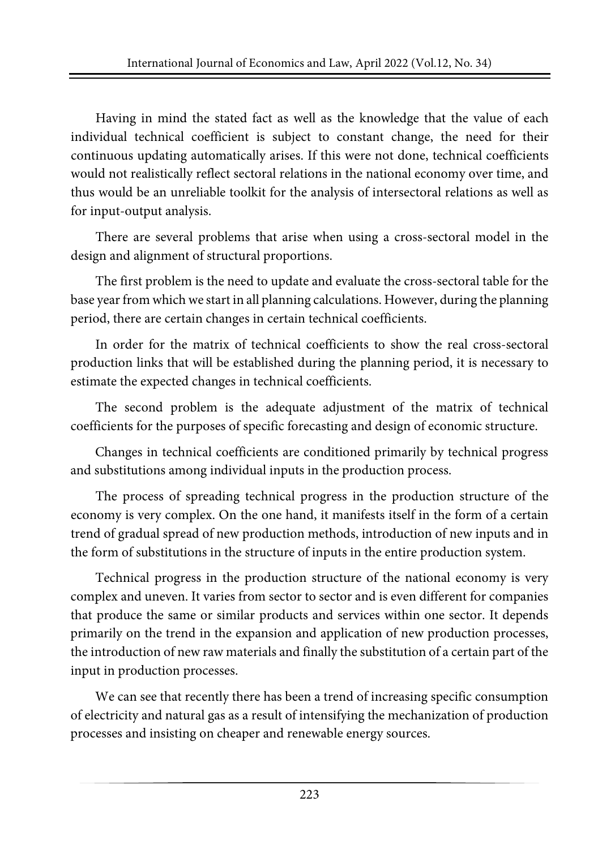Having in mind the stated fact as well as the knowledge that the value of each individual technical coefficient is subject to constant change, the need for their continuous updating automatically arises. If this were not done, technical coefficients would not realistically reflect sectoral relations in the national economy over time, and thus would be an unreliable toolkit for the analysis of intersectoral relations as well as for input-output analysis.

There are several problems that arise when using a cross-sectoral model in the design and alignment of structural proportions.

The first problem is the need to update and evaluate the cross-sectoral table for the base year from which we start in all planning calculations. However, during the planning period, there are certain changes in certain technical coefficients.

In order for the matrix of technical coefficients to show the real cross-sectoral production links that will be established during the planning period, it is necessary to estimate the expected changes in technical coefficients.

The second problem is the adequate adjustment of the matrix of technical coefficients for the purposes of specific forecasting and design of economic structure.

Changes in technical coefficients are conditioned primarily by technical progress and substitutions among individual inputs in the production process.

The process of spreading technical progress in the production structure of the economy is very complex. On the one hand, it manifests itself in the form of a certain trend of gradual spread of new production methods, introduction of new inputs and in the form of substitutions in the structure of inputs in the entire production system.

Technical progress in the production structure of the national economy is very complex and uneven. It varies from sector to sector and is even different for companies that produce the same or similar products and services within one sector. It depends primarily on the trend in the expansion and application of new production processes, the introduction of new raw materials and finally the substitution of a certain part of the input in production processes.

We can see that recently there has been a trend of increasing specific consumption of electricity and natural gas as a result of intensifying the mechanization of production processes and insisting on cheaper and renewable energy sources.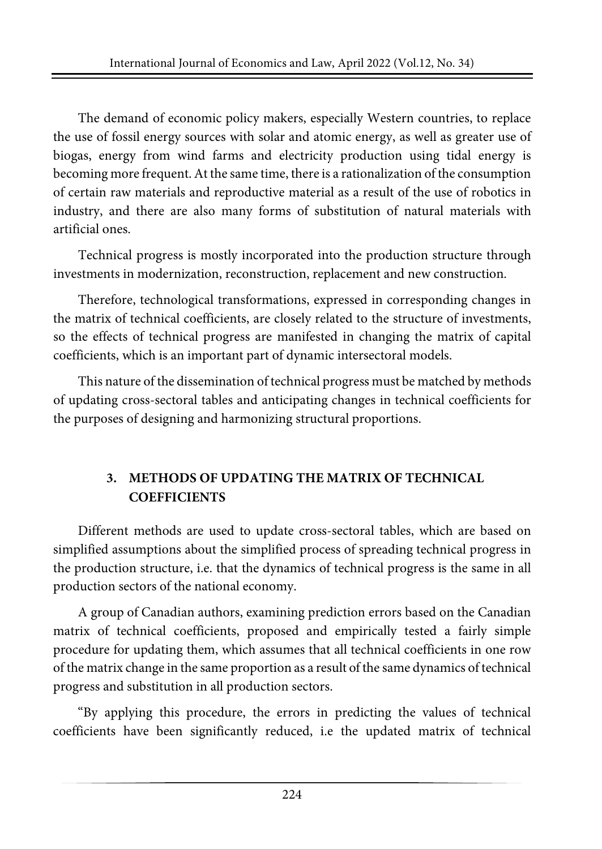The demand of economic policy makers, especially Western countries, to replace the use of fossil energy sources with solar and atomic energy, as well as greater use of biogas, energy from wind farms and electricity production using tidal energy is becoming more frequent.At the same time, there is a rationalization of the consumption of certain raw materials and reproductive material as a result of the use of robotics in industry, and there are also many forms of substitution of natural materials with artificial ones.

Technical progress is mostly incorporated into the production structure through investments in modernization, reconstruction, replacement and new construction.

Therefore, technological transformations, expressed in corresponding changes in the matrix of technical coefficients, are closely related to the structure of investments, so the effects of technical progress are manifested in changing the matrix of capital coefficients, which is an important part of dynamic intersectoral models.

This nature of the dissemination of technical progress must be matched by methods of updating cross-sectoral tables and anticipating changes in technical coefficients for the purposes of designing and harmonizing structural proportions.

### **3. METHODS OF UPDATING THE MATRIX OF TECHNICAL COEFFICIENTS**

Different methods are used to update cross-sectoral tables, which are based on simplified assumptions about the simplified process of spreading technical progress in the production structure, i.e. that the dynamics of technical progress is the same in all production sectors of the national economy.

A group of Canadian authors, examining prediction errors based on the Canadian matrix of technical coefficients, proposed and empirically tested a fairly simple procedure for updating them, which assumes that all technical coefficients in one row of the matrix change in the same proportion as a result of the same dynamics of technical progress and substitution in all production sectors.

"By applying this procedure, the errors in predicting the values of technical coefficients have been significantly reduced, i.e the updated matrix of technical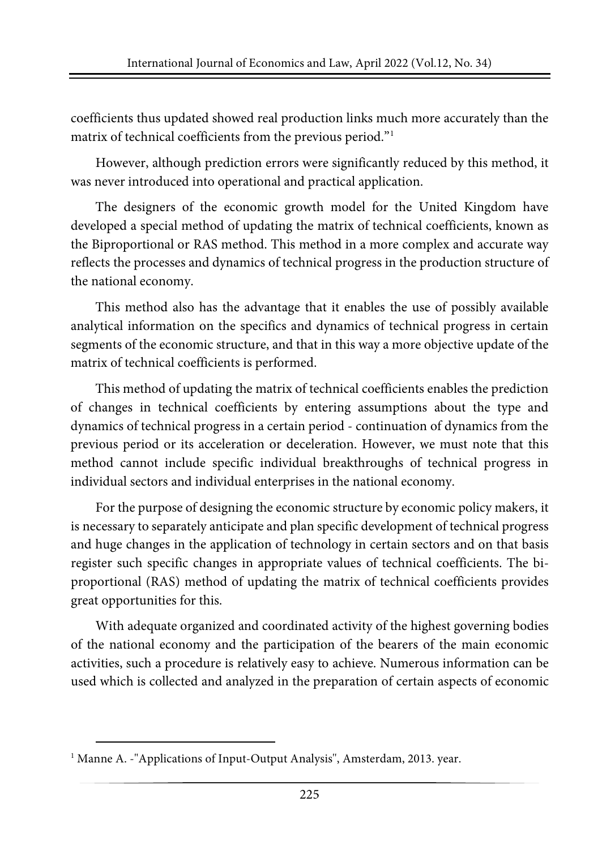coefficients thus updated showed real production links much more accurately than the matrix of technical coefficients from the previous period."<sup>1</sup>

However, although prediction errors were significantly reduced by this method, it was never introduced into operational and practical application.

The designers of the economic growth model for the United Kingdom have developed a special method of updating the matrix of technical coefficients, known as the Biproportional or RAS method. This method in a more complex and accurate way reflects the processes and dynamics of technical progress in the production structure of the national economy.

This method also has the advantage that it enables the use of possibly available analytical information on the specifics and dynamics of technical progress in certain segments of the economic structure, and that in this way a more objective update of the matrix of technical coefficients is performed.

This method of updating the matrix of technical coefficients enables the prediction of changes in technical coefficients by entering assumptions about the type and dynamics of technical progress in a certain period - continuation of dynamics from the previous period or its acceleration or deceleration. However, we must note that this method cannot include specific individual breakthroughs of technical progress in individual sectors and individual enterprises in the national economy.

For the purpose of designing the economic structure by economic policy makers, it is necessary to separately anticipate and plan specific development of technical progress and huge changes in the application of technology in certain sectors and on that basis register such specific changes in appropriate values of technical coefficients. The biproportional (RAS) method of updating the matrix of technical coefficients provides great opportunities for this.

With adequate organized and coordinated activity of the highest governing bodies of the national economy and the participation of the bearers of the main economic activities, such a procedure is relatively easy to achieve. Numerous information can be used which is collected and analyzed in the preparation of certain aspects of economic

<span id="page-6-0"></span><sup>&</sup>lt;sup>1</sup> Manne A. -"Applications of Input-Output Analysis", Amsterdam, 2013. year.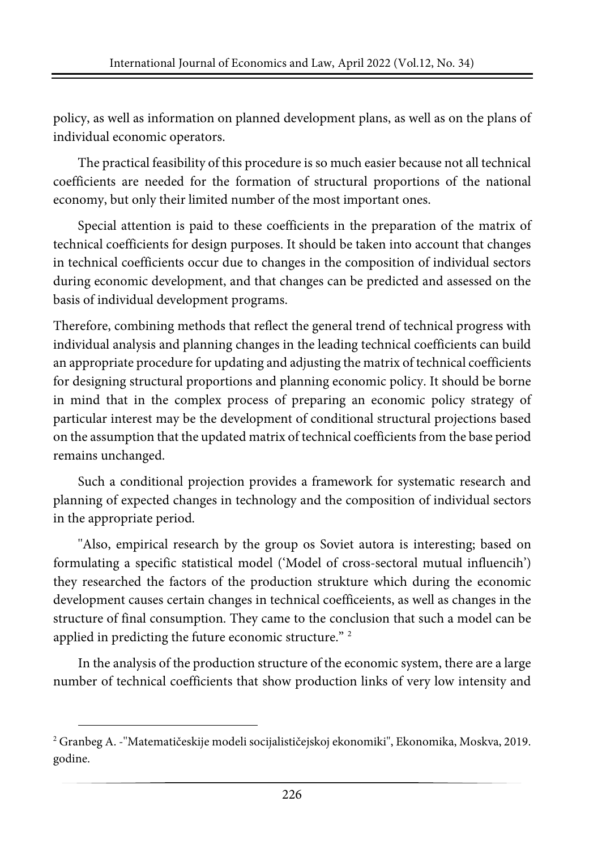policy, as well as information on planned development plans, as well as on the plans of individual economic operators.

The practical feasibility of this procedure is so much easier because not all technical coefficients are needed for the formation of structural proportions of the national economy, but only their limited number of the most important ones.

Special attention is paid to these coefficients in the preparation of the matrix of technical coefficients for design purposes. It should be taken into account that changes in technical coefficients occur due to changes in the composition of individual sectors during economic development, and that changes can be predicted and assessed on the basis of individual development programs.

Therefore, combining methods that reflect the general trend of technical progress with individual analysis and planning changes in the leading technical coefficients can build an appropriate procedure for updating and adjusting the matrix of technical coefficients for designing structural proportions and planning economic policy. It should be borne in mind that in the complex process of preparing an economic policy strategy of particular interest may be the development of conditional structural projections based on the assumption that the updated matrix of technical coefficients from the base period remains unchanged.

Such a conditional projection provides a framework for systematic research and planning of expected changes in technology and the composition of individual sectors in the appropriate period.

''Also, empirical research by the group os Soviet autora is interesting; based on formulating a specific statistical model ('Model of cross-sectoral mutual influencih') they researched the factors of the production strukture which during the economic development causes certain changes in technical coefficeients, as well as changes in the structure of final consumption. They came to the conclusion that such a model can be applied in predicting the future economic structure." [2](#page-7-0)

In the analysis of the production structure of the economic system, there are a large number of technical coefficients that show production links of very low intensity and

<span id="page-7-0"></span><sup>2</sup> Granbeg A. -''Matematičeskije modeli socijalističejskoj ekonomiki'', Ekonomika, Moskva, 2019. godine.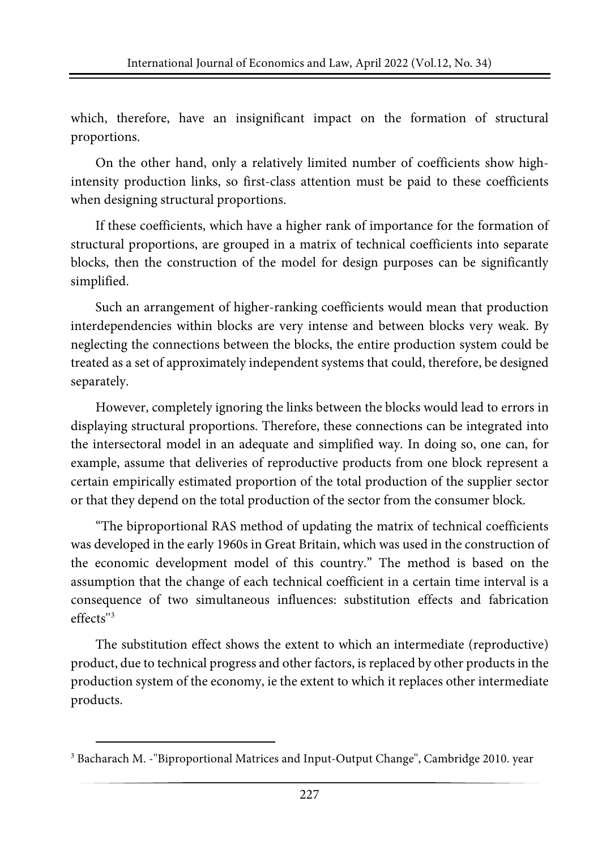which, therefore, have an insignificant impact on the formation of structural proportions.

On the other hand, only a relatively limited number of coefficients show highintensity production links, so first-class attention must be paid to these coefficients when designing structural proportions.

If these coefficients, which have a higher rank of importance for the formation of structural proportions, are grouped in a matrix of technical coefficients into separate blocks, then the construction of the model for design purposes can be significantly simplified.

Such an arrangement of higher-ranking coefficients would mean that production interdependencies within blocks are very intense and between blocks very weak. By neglecting the connections between the blocks, the entire production system could be treated as a set of approximately independent systems that could, therefore, be designed separately.

However, completely ignoring the links between the blocks would lead to errors in displaying structural proportions. Therefore, these connections can be integrated into the intersectoral model in an adequate and simplified way. In doing so, one can, for example, assume that deliveries of reproductive products from one block represent a certain empirically estimated proportion of the total production of the supplier sector or that they depend on the total production of the sector from the consumer block.

"The biproportional RAS method of updating the matrix of technical coefficients was developed in the early 1960s in Great Britain, which was used in the construction of the economic development model of this country." The method is based on the assumption that the change of each technical coefficient in a certain time interval is a consequence of two simultaneous influences: substitution effects and fabrication effects''[3](#page-8-0)

The substitution effect shows the extent to which an intermediate (reproductive) product, due to technical progress and other factors, is replaced by other products in the production system of the economy, ie the extent to which it replaces other intermediate products.

<span id="page-8-0"></span><sup>&</sup>lt;sup>3</sup> Bacharach M. - "Biproportional Matrices and Input-Output Change", Cambridge 2010. year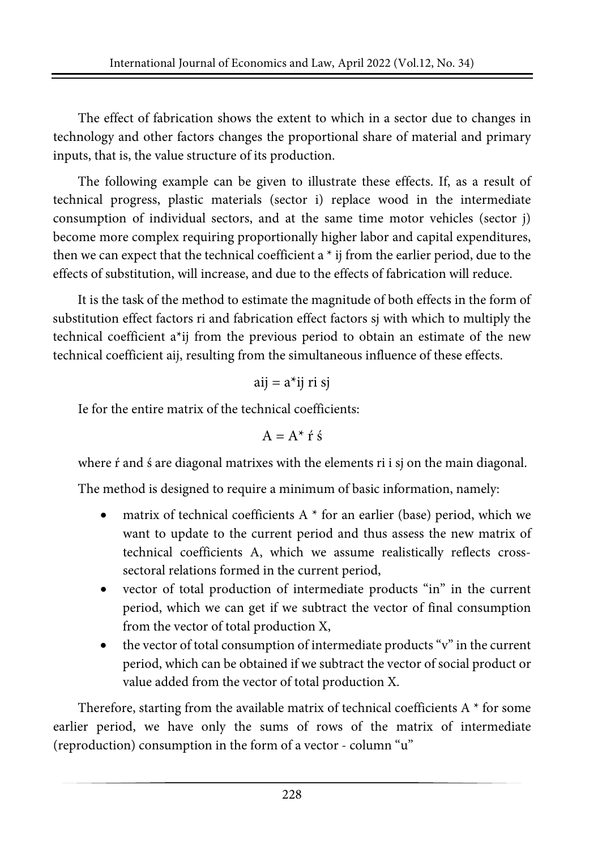The effect of fabrication shows the extent to which in a sector due to changes in technology and other factors changes the proportional share of material and primary inputs, that is, the value structure of its production.

The following example can be given to illustrate these effects. If, as a result of technical progress, plastic materials (sector i) replace wood in the intermediate consumption of individual sectors, and at the same time motor vehicles (sector j) become more complex requiring proportionally higher labor and capital expenditures, then we can expect that the technical coefficient a \* ij from the earlier period, due to the effects of substitution, will increase, and due to the effects of fabrication will reduce.

It is the task of the method to estimate the magnitude of both effects in the form of substitution effect factors ri and fabrication effect factors sj with which to multiply the technical coefficient a\*ij from the previous period to obtain an estimate of the new technical coefficient aij, resulting from the simultaneous influence of these effects.

$$
aij = a^*ij \; ri \; sj
$$

Ie for the entire matrix of the technical coefficients:

$$
A=A^{\star}\ \acute{r}\ \acute{s}
$$

where *f* and *s* are diagonal matrixes with the elements *ri* i *sj* on the main diagonal.

The method is designed to require a minimum of basic information, namely:

- matrix of technical coefficients A  $*$  for an earlier (base) period, which we want to update to the current period and thus assess the new matrix of technical coefficients A, which we assume realistically reflects crosssectoral relations formed in the current period,
- vector of total production of intermediate products "in" in the current period, which we can get if we subtract the vector of final consumption from the vector of total production X,
- the vector of total consumption of intermediate products "v" in the current period, which can be obtained if we subtract the vector of social product or value added from the vector of total production X.

Therefore, starting from the available matrix of technical coefficients A \* for some earlier period, we have only the sums of rows of the matrix of intermediate (reproduction) consumption in the form of a vector - column "u"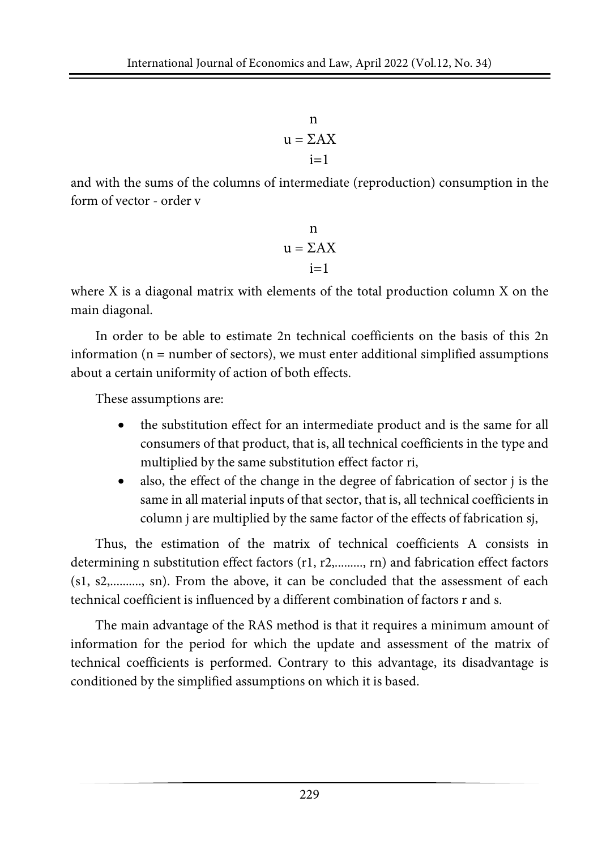n  $u = \Sigma A X$  $i=1$ 

and with the sums of the columns of intermediate (reproduction) consumption in the form of vector - order v

$$
n
$$
  

$$
u = \sum A X
$$
  

$$
i = 1
$$

where X is a diagonal matrix with elements of the total production column X on the main diagonal.

In order to be able to estimate 2n technical coefficients on the basis of this 2n information  $(n = number of sectors)$ , we must enter additional simplified assumptions about a certain uniformity of action of both effects.

These assumptions are:

- the substitution effect for an intermediate product and is the same for all consumers of that product, that is, all technical coefficients in the type and multiplied by the same substitution effect factor ri,
- also, the effect of the change in the degree of fabrication of sector *j* is the same in all material inputs of that sector, that is, all technical coefficients in column j are multiplied by the same factor of the effects of fabrication sj,

Thus, the estimation of the matrix of technical coefficients A consists in determining n substitution effect factors (r1, r2,........., rn) and fabrication effect factors (s1, s2,.........., sn). From the above, it can be concluded that the assessment of each technical coefficient is influenced by a different combination of factors r and s.

The main advantage of the RAS method is that it requires a minimum amount of information for the period for which the update and assessment of the matrix of technical coefficients is performed. Contrary to this advantage, its disadvantage is conditioned by the simplified assumptions on which it is based.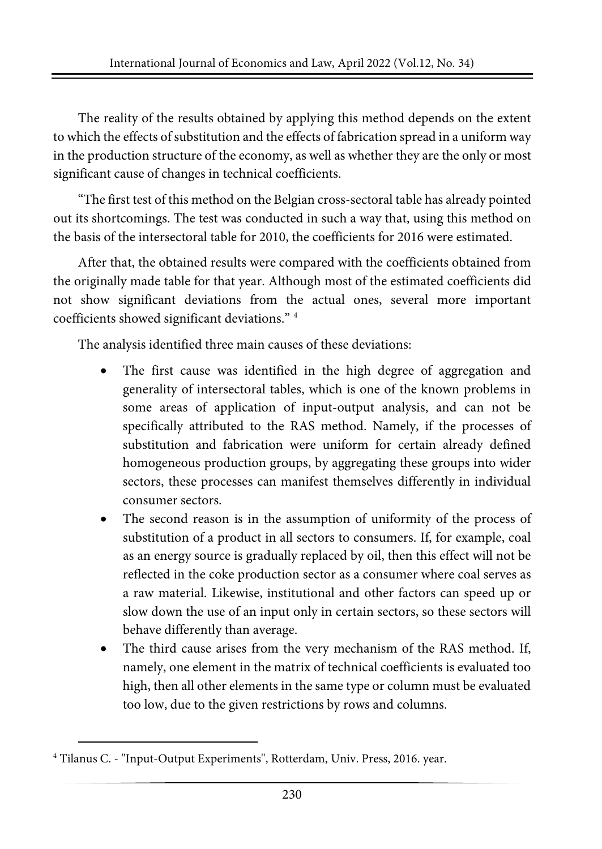The reality of the results obtained by applying this method depends on the extent to which the effects of substitution and the effects of fabrication spread in a uniform way in the production structure of the economy, as well as whether they are the only or most significant cause of changes in technical coefficients.

"The first test of this method on the Belgian cross-sectoral table has already pointed out its shortcomings. The test was conducted in such a way that, using this method on the basis of the intersectoral table for 2010, the coefficients for 2016 were estimated.

After that, the obtained results were compared with the coefficients obtained from the originally made table for that year. Although most of the estimated coefficients did not show significant deviations from the actual ones, several more important coefficients showed significant deviations." [4](#page-11-0)

The analysis identified three main causes of these deviations:

- The first cause was identified in the high degree of aggregation and generality of intersectoral tables, which is one of the known problems in some areas of application of input-output analysis, and can not be specifically attributed to the RAS method. Namely, if the processes of substitution and fabrication were uniform for certain already defined homogeneous production groups, by aggregating these groups into wider sectors, these processes can manifest themselves differently in individual consumer sectors.
- The second reason is in the assumption of uniformity of the process of substitution of a product in all sectors to consumers. If, for example, coal as an energy source is gradually replaced by oil, then this effect will not be reflected in the coke production sector as a consumer where coal serves as a raw material. Likewise, institutional and other factors can speed up or slow down the use of an input only in certain sectors, so these sectors will behave differently than average.
- The third cause arises from the very mechanism of the RAS method. If, namely, one element in the matrix of technical coefficients is evaluated too high, then all other elements in the same type or column must be evaluated too low, due to the given restrictions by rows and columns.

<span id="page-11-0"></span><sup>4</sup> Tilanus C. - ''Input-Output Experiments'', Rotterdam, Univ. Press, 2016. year.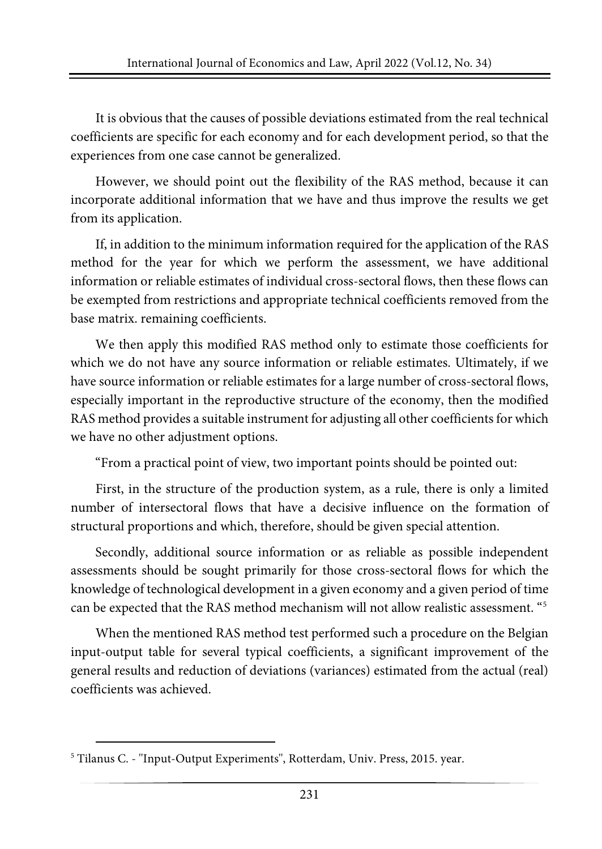It is obvious that the causes of possible deviations estimated from the real technical coefficients are specific for each economy and for each development period, so that the experiences from one case cannot be generalized.

However, we should point out the flexibility of the RAS method, because it can incorporate additional information that we have and thus improve the results we get from its application.

If, in addition to the minimum information required for the application of the RAS method for the year for which we perform the assessment, we have additional information or reliable estimates of individual cross-sectoral flows, then these flows can be exempted from restrictions and appropriate technical coefficients removed from the base matrix. remaining coefficients.

We then apply this modified RAS method only to estimate those coefficients for which we do not have any source information or reliable estimates. Ultimately, if we have source information or reliable estimates for a large number of cross-sectoral flows, especially important in the reproductive structure of the economy, then the modified RAS method provides a suitable instrument for adjusting all other coefficients for which we have no other adjustment options.

"From a practical point of view, two important points should be pointed out:

First, in the structure of the production system, as a rule, there is only a limited number of intersectoral flows that have a decisive influence on the formation of structural proportions and which, therefore, should be given special attention.

Secondly, additional source information or as reliable as possible independent assessments should be sought primarily for those cross-sectoral flows for which the knowledge of technological development in a given economy and a given period of time can be expected that the RAS method mechanism will not allow realistic assessment. "[5](#page-12-0)

When the mentioned RAS method test performed such a procedure on the Belgian input-output table for several typical coefficients, a significant improvement of the general results and reduction of deviations (variances) estimated from the actual (real) coefficients was achieved.

<span id="page-12-0"></span><sup>5</sup> Tilanus C. - ''Input-Output Experiments'', Rotterdam, Univ. Press, 2015. year.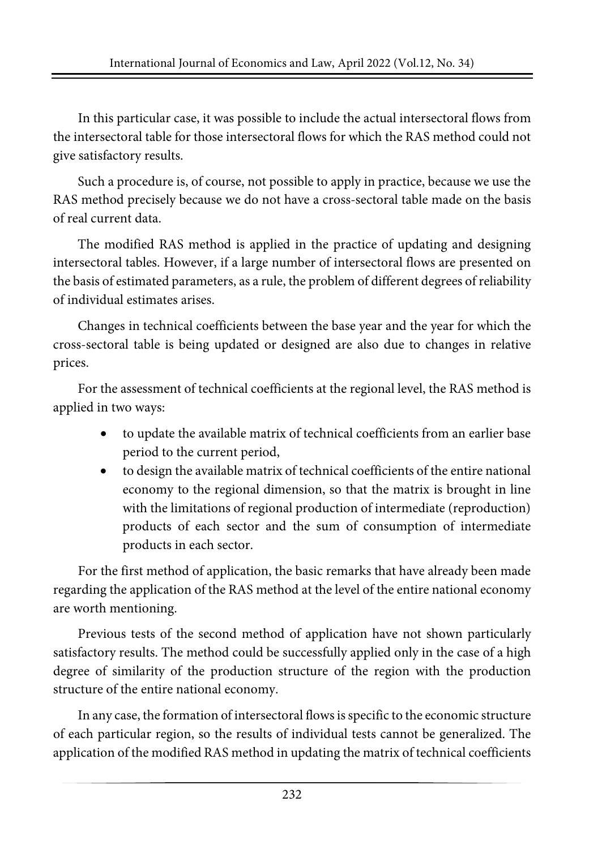In this particular case, it was possible to include the actual intersectoral flows from the intersectoral table for those intersectoral flows for which the RAS method could not give satisfactory results.

Such a procedure is, of course, not possible to apply in practice, because we use the RAS method precisely because we do not have a cross-sectoral table made on the basis of real current data.

The modified RAS method is applied in the practice of updating and designing intersectoral tables. However, if a large number of intersectoral flows are presented on the basis of estimated parameters, as a rule, the problem of different degrees of reliability of individual estimates arises.

Changes in technical coefficients between the base year and the year for which the cross-sectoral table is being updated or designed are also due to changes in relative prices.

For the assessment of technical coefficients at the regional level, the RAS method is applied in two ways:

- to update the available matrix of technical coefficients from an earlier base period to the current period,
- to design the available matrix of technical coefficients of the entire national economy to the regional dimension, so that the matrix is brought in line with the limitations of regional production of intermediate (reproduction) products of each sector and the sum of consumption of intermediate products in each sector.

For the first method of application, the basic remarks that have already been made regarding the application of the RAS method at the level of the entire national economy are worth mentioning.

Previous tests of the second method of application have not shown particularly satisfactory results. The method could be successfully applied only in the case of a high degree of similarity of the production structure of the region with the production structure of the entire national economy.

In any case, the formation of intersectoral flowsisspecific to the economic structure of each particular region, so the results of individual tests cannot be generalized. The application of the modified RAS method in updating the matrix of technical coefficients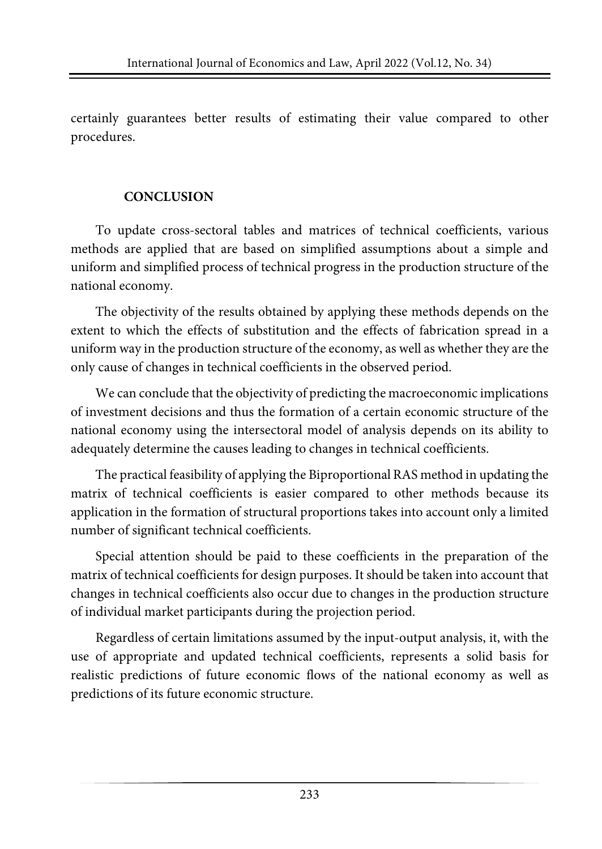certainly guarantees better results of estimating their value compared to other procedures.

#### **CONCLUSION**

To update cross-sectoral tables and matrices of technical coefficients, various methods are applied that are based on simplified assumptions about a simple and uniform and simplified process of technical progress in the production structure of the national economy.

The objectivity of the results obtained by applying these methods depends on the extent to which the effects of substitution and the effects of fabrication spread in a uniform way in the production structure of the economy, as well as whether they are the only cause of changes in technical coefficients in the observed period.

We can conclude that the objectivity of predicting the macroeconomic implications of investment decisions and thus the formation of a certain economic structure of the national economy using the intersectoral model of analysis depends on its ability to adequately determine the causes leading to changes in technical coefficients.

The practical feasibility of applying the Biproportional RAS method in updating the matrix of technical coefficients is easier compared to other methods because its application in the formation of structural proportions takes into account only a limited number of significant technical coefficients.

Special attention should be paid to these coefficients in the preparation of the matrix of technical coefficients for design purposes. It should be taken into account that changes in technical coefficients also occur due to changes in the production structure of individual market participants during the projection period.

Regardless of certain limitations assumed by the input-output analysis, it, with the use of appropriate and updated technical coefficients, represents a solid basis for realistic predictions of future economic flows of the national economy as well as predictions of its future economic structure.